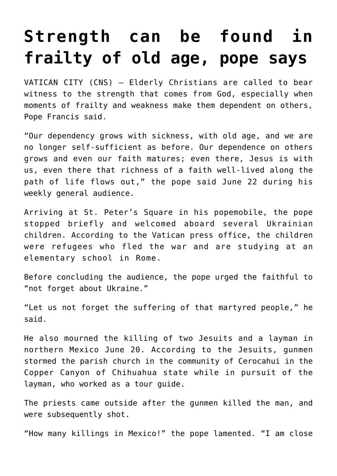## **[Strength can be found in](https://www.osvnews.com/2022/06/22/strength-can-be-found-in-frailty-of-old-age-pope-says/) [frailty of old age, pope says](https://www.osvnews.com/2022/06/22/strength-can-be-found-in-frailty-of-old-age-pope-says/)**

VATICAN CITY (CNS) — Elderly Christians are called to bear witness to the strength that comes from God, especially when moments of frailty and weakness make them dependent on others, Pope Francis said.

"Our dependency grows with sickness, with old age, and we are no longer self-sufficient as before. Our dependence on others grows and even our faith matures; even there, Jesus is with us, even there that richness of a faith well-lived along the path of life flows out," the pope said June 22 during his weekly general audience.

Arriving at St. Peter's Square in his popemobile, the pope stopped briefly and welcomed aboard several Ukrainian children. According to the Vatican press office, the children were refugees who fled the war and are studying at an elementary school in Rome.

Before concluding the audience, the pope urged the faithful to "not forget about Ukraine."

"Let us not forget the suffering of that martyred people," he said.

He also mourned the killing of two Jesuits and a layman in northern Mexico June 20. According to the Jesuits, gunmen stormed the parish church in the community of Cerocahui in the Copper Canyon of Chihuahua state while in pursuit of the layman, who worked as a tour guide.

The priests came outside after the gunmen killed the man, and were subsequently shot.

"How many killings in Mexico!" the pope lamented. "I am close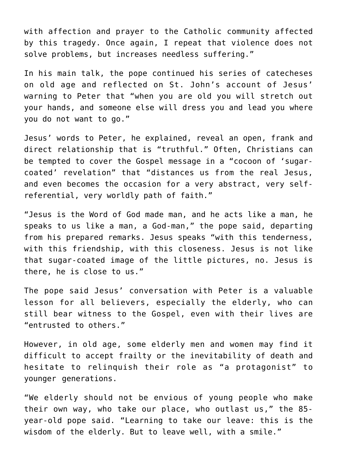with affection and prayer to the Catholic community affected by this tragedy. Once again, I repeat that violence does not solve problems, but increases needless suffering."

In his main talk, the pope continued his series of catecheses on old age and reflected on St. John's account of Jesus' warning to Peter that "when you are old you will stretch out your hands, and someone else will dress you and lead you where you do not want to go."

Jesus' words to Peter, he explained, reveal an open, frank and direct relationship that is "truthful." Often, Christians can be tempted to cover the Gospel message in a "cocoon of 'sugarcoated' revelation" that "distances us from the real Jesus, and even becomes the occasion for a very abstract, very selfreferential, very worldly path of faith."

"Jesus is the Word of God made man, and he acts like a man, he speaks to us like a man, a God-man," the pope said, departing from his prepared remarks. Jesus speaks "with this tenderness, with this friendship, with this closeness. Jesus is not like that sugar-coated image of the little pictures, no. Jesus is there, he is close to us."

The pope said Jesus' conversation with Peter is a valuable lesson for all believers, especially the elderly, who can still bear witness to the Gospel, even with their lives are "entrusted to others."

However, in old age, some elderly men and women may find it difficult to accept frailty or the inevitability of death and hesitate to relinquish their role as "a protagonist" to younger generations.

"We elderly should not be envious of young people who make their own way, who take our place, who outlast us," the 85 year-old pope said. "Learning to take our leave: this is the wisdom of the elderly. But to leave well, with a smile."